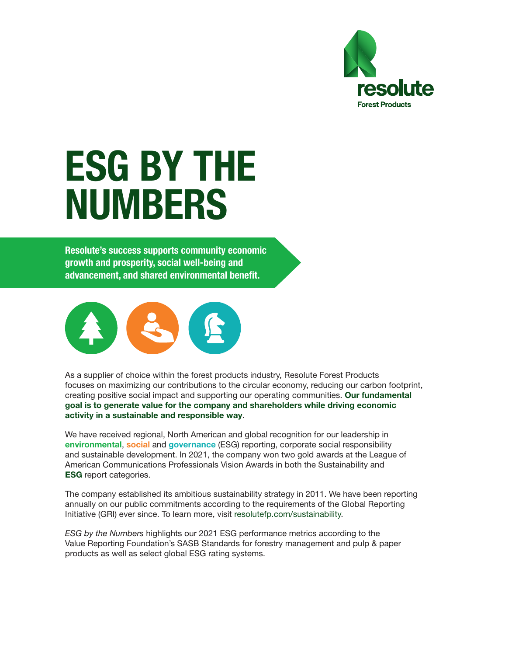

## ESG BY THE NUMBERS

Resolute's success supports community economic growth and prosperity, social well-being and advancement, and shared environmental benefit.



As a supplier of choice within the forest products industry, Resolute Forest Products focuses on maximizing our contributions to the circular economy, reducing our carbon footprint, creating positive social impact and supporting our operating communities. Our fundamental goal is to generate value for the company and shareholders while driving economic activity in a sustainable and responsible way.

We have received regional, North American and global recognition for our leadership in environmental, social and governance (ESG) reporting, corporate social responsibility and sustainable development. In 2021, the company won two gold awards at the League of American Communications Professionals Vision Awards in both the Sustainability and ESG report categories.

The company established its ambitious sustainability strategy in 2011. We have been reporting annually on our public commitments according to the requirements of the Global Reporting Initiative (GRI) ever since. To learn more, visit [resolutefp.com/sustainability](https://www.resolutefp.com/sustainability/).

*ESG by the Numbers* highlights our 2021 ESG performance metrics according to the Value Reporting Foundation's SASB Standards for forestry management and pulp & paper products as well as select global ESG rating systems.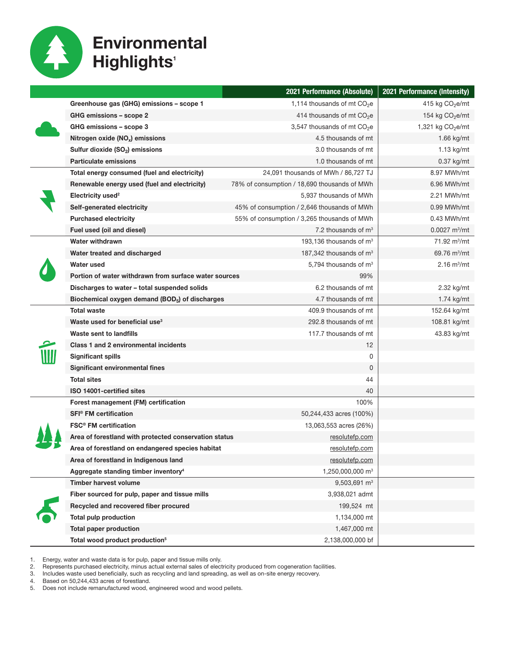

## **Environmental Highlights'**

|  |                                                             | 2021 Performance (Absolute)                  | 2021 Performance (Intensity)    |
|--|-------------------------------------------------------------|----------------------------------------------|---------------------------------|
|  | Greenhouse gas (GHG) emissions - scope 1                    | 1,114 thousands of mt $CO2e$                 | 415 kg $CO2e/mt$                |
|  | GHG emissions - scope 2                                     | 414 thousands of mt $CO2e$                   | 154 kg $CO2e/mt$                |
|  | GHG emissions – scope 3                                     | 3,547 thousands of mt $CO2e$                 | 1,321 kg $CO2e/mL$              |
|  | Nitrogen oxide (NO <sub>x</sub> ) emissions                 | 4.5 thousands of mt                          | 1.66 kg/mt                      |
|  | Sulfur dioxide (SO <sub>2</sub> ) emissions                 | 3.0 thousands of mt                          | $1.13$ kg/mt                    |
|  | <b>Particulate emissions</b>                                | 1.0 thousands of mt                          | $0.37$ kg/mt                    |
|  | Total energy consumed (fuel and electricity)                | 24,091 thousands of MWh / 86,727 TJ          | 8.97 MWh/mt                     |
|  | Renewable energy used (fuel and electricity)                | 78% of consumption / 18,690 thousands of MWh | 6.96 MWh/mt                     |
|  | Electricity used <sup>2</sup>                               | 5,937 thousands of MWh                       | 2.21 MWh/mt                     |
|  | Self-generated electricity                                  | 45% of consumption / 2,646 thousands of MWh  | $0.99$ MWh/mt                   |
|  | <b>Purchased electricity</b>                                | 55% of consumption / 3,265 thousands of MWh  | $0.43$ MWh/mt                   |
|  | Fuel used (oil and diesel)                                  | 7.2 thousands of $m3$                        | $0.0027 \text{ m}^3/\text{m}$ t |
|  | <b>Water withdrawn</b>                                      | 193,136 thousands of $m3$                    | 71.92 $m^3/mt$                  |
|  | Water treated and discharged                                | 187,342 thousands of $m3$                    | 69.76 $m^3/mt$                  |
|  | Water used                                                  | 5,794 thousands of m <sup>3</sup>            | $2.16 \text{ m}^3/\text{m}$ t   |
|  | Portion of water withdrawn from surface water sources       | 99%                                          |                                 |
|  | Discharges to water - total suspended solids                | 6.2 thousands of mt                          | 2.32 kg/mt                      |
|  | Biochemical oxygen demand (BOD <sub>5</sub> ) of discharges | 4.7 thousands of mt                          | 1.74 kg/mt                      |
|  | <b>Total waste</b>                                          | 409.9 thousands of mt                        | 152.64 kg/mt                    |
|  | Waste used for beneficial use <sup>3</sup>                  | 292.8 thousands of mt                        | 108.81 kg/mt                    |
|  | Waste sent to landfills                                     | 117.7 thousands of mt                        | 43.83 kg/mt                     |
|  | Class 1 and 2 environmental incidents                       | 12                                           |                                 |
|  | <b>Significant spills</b>                                   | 0                                            |                                 |
|  | Significant environmental fines                             | 0                                            |                                 |
|  | <b>Total sites</b>                                          | 44                                           |                                 |
|  | ISO 14001-certified sites                                   | 40                                           |                                 |
|  | Forest management (FM) certification                        | 100%                                         |                                 |
|  | <b>SFI<sup>®</sup></b> FM certification                     | 50,244,433 acres (100%)                      |                                 |
|  | <b>FSC<sup>®</sup> FM</b> certification                     | 13,063,553 acres (26%)                       |                                 |
|  | Area of forestland with protected conservation status       | <u>resolutefp.com</u>                        |                                 |
|  | Area of forestland on endangered species habitat            | resolutefp.com                               |                                 |
|  | Area of forestland in Indigenous land                       | resolutefp.com                               |                                 |
|  | Aggregate standing timber inventory <sup>4</sup>            | 1,250,000,000 m <sup>3</sup>                 |                                 |
|  | Timber harvest volume                                       | $9,503,691 \text{ m}^3$                      |                                 |
|  | Fiber sourced for pulp, paper and tissue mills              | 3,938,021 admt                               |                                 |
|  | Recycled and recovered fiber procured                       | 199,524 mt                                   |                                 |
|  | <b>Total pulp production</b>                                | 1,134,000 mt                                 |                                 |
|  | <b>Total paper production</b>                               | 1,467,000 mt                                 |                                 |
|  | Total wood product production <sup>5</sup>                  | 2,138,000,000 bf                             |                                 |

1. Energy, water and waste data is for pulp, paper and tissue mills only.

2. Represents purchased electricity, minus actual external sales of electricity produced from cogeneration facilities.

3. Includes waste used beneficially, such as recycling and land spreading, as well as on-site energy recovery.

4. Based on 50,244,433 acres of forestland.

5. Does not include remanufactured wood, engineered wood and wood pellets.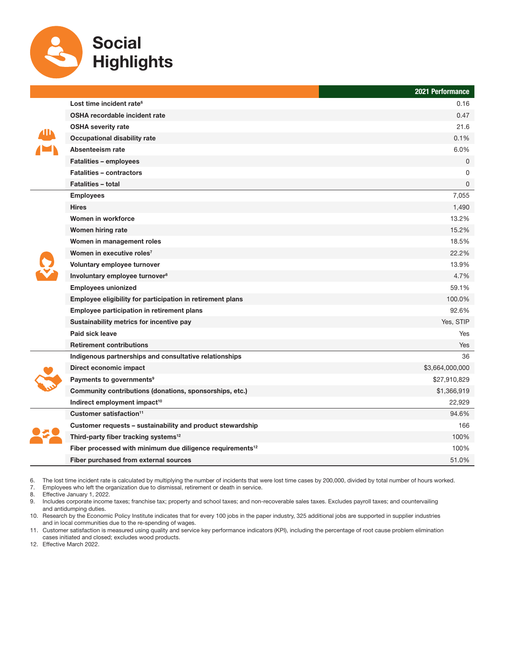

|  |                                                                       | 2021 Performance |
|--|-----------------------------------------------------------------------|------------------|
|  | Lost time incident rate <sup>6</sup>                                  | 0.16             |
|  | <b>OSHA recordable incident rate</b>                                  | 0.47             |
|  | <b>OSHA severity rate</b>                                             | 21.6             |
|  | <b>Occupational disability rate</b>                                   | 0.1%             |
|  | Absenteeism rate                                                      | 6.0%             |
|  | <b>Fatalities - employees</b>                                         | $\mathbf{0}$     |
|  | <b>Fatalities - contractors</b>                                       | 0                |
|  | <b>Fatalities - total</b>                                             | $\Omega$         |
|  | <b>Employees</b>                                                      | 7,055            |
|  | <b>Hires</b>                                                          | 1,490            |
|  | Women in workforce                                                    | 13.2%            |
|  | Women hiring rate                                                     | 15.2%            |
|  | Women in management roles                                             | 18.5%            |
|  | Women in executive roles <sup>7</sup>                                 | 22.2%            |
|  | Voluntary employee turnover                                           | 13.9%            |
|  | Involuntary employee turnover <sup>8</sup>                            | 4.7%             |
|  | <b>Employees unionized</b>                                            | 59.1%            |
|  | Employee eligibility for participation in retirement plans            | 100.0%           |
|  | Employee participation in retirement plans                            | 92.6%            |
|  | Sustainability metrics for incentive pay                              | Yes, STIP        |
|  | Paid sick leave                                                       | Yes              |
|  | <b>Retirement contributions</b>                                       | Yes              |
|  | Indigenous partnerships and consultative relationships                | 36               |
|  | Direct economic impact                                                | \$3,664,000,000  |
|  | Payments to governments <sup>9</sup>                                  | \$27,910,829     |
|  | Community contributions (donations, sponsorships, etc.)               | \$1,366,919      |
|  | Indirect employment impact <sup>10</sup>                              | 22,929           |
|  | Customer satisfaction <sup>11</sup>                                   | 94.6%            |
|  | Customer requests - sustainability and product stewardship            | 166              |
|  | Third-party fiber tracking systems <sup>12</sup>                      | 100%             |
|  | Fiber processed with minimum due diligence requirements <sup>12</sup> | 100%             |
|  | Fiber purchased from external sources                                 | 51.0%            |

6. The lost time incident rate is calculated by multiplying the number of incidents that were lost time cases by 200,000, divided by total number of hours worked.<br>7. Employees who left the organization due to dismissal, re

7. Employees who left the organization due to dismissal, retirement or death in service.

Effective January 1, 2022.

9. Includes corporate income taxes; franchise tax; property and school taxes; and non-recoverable sales taxes. Excludes payroll taxes; and countervailing and antidumping duties.

10. Research by the Economic Policy Institute indicates that for every 100 jobs in the paper industry, 325 additional jobs are supported in supplier industries and in local communities due to the re-spending of wages.

11. Customer satisfaction is measured using quality and service key performance indicators (KPI), including the percentage of root cause problem elimination cases initiated and closed; excludes wood products.

12. Effective March 2022.